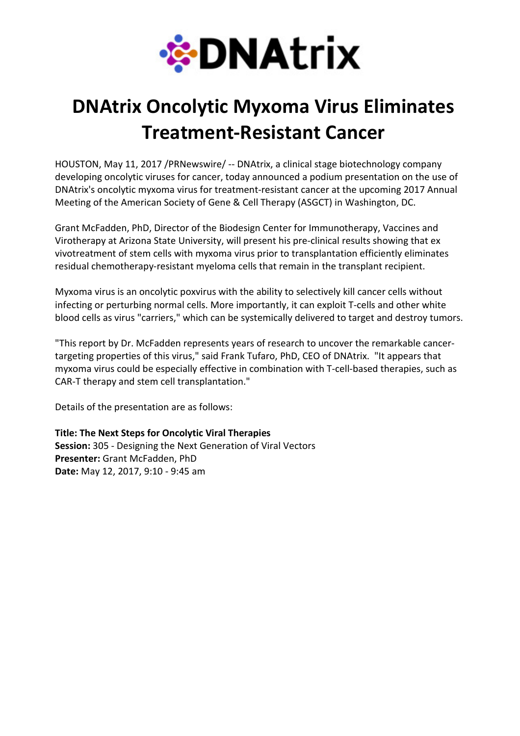

## DNAtrix Oncolytic Myxoma Virus Eliminates Treatment-Resistant Cancer

HOUSTON, May 11, 2017 /PRNewswire/ -- DNAtrix, a clinical stage biotechnology company developing oncolytic viruses for cancer, today announced a podium presentation on the use of DNAtrix's oncolytic myxoma virus for treatment-resistant cancer at the upcoming 2017 Annual Meeting of the American Society of Gene & Cell Therapy (ASGCT) in Washington, DC.

Grant McFadden, PhD, Director of the Biodesign Center for Immunotherapy, Vaccines and Virotherapy at Arizona State University, will present his pre-clinical results showing that ex vivotreatment of stem cells with myxoma virus prior to transplantation efficiently eliminates residual chemotherapy-resistant myeloma cells that remain in the transplant recipient.

Myxoma virus is an oncolytic poxvirus with the ability to selectively kill cancer cells without infecting or perturbing normal cells. More importantly, it can exploit T-cells and other white blood cells as virus "carriers," which can be systemically delivered to target and destroy tumors.

"This report by Dr. McFadden represents years of research to uncover the remarkable cancertargeting properties of this virus," said Frank Tufaro, PhD, CEO of DNAtrix. "It appears that myxoma virus could be especially effective in combination with T-cell-based therapies, such as CAR-T therapy and stem cell transplantation."

Details of the presentation are as follows:

Title: The Next Steps for Oncolytic Viral Therapies Session: 305 - Designing the Next Generation of Viral Vectors Presenter: Grant McFadden, PhD Date: May 12, 2017, 9:10 - 9:45 am